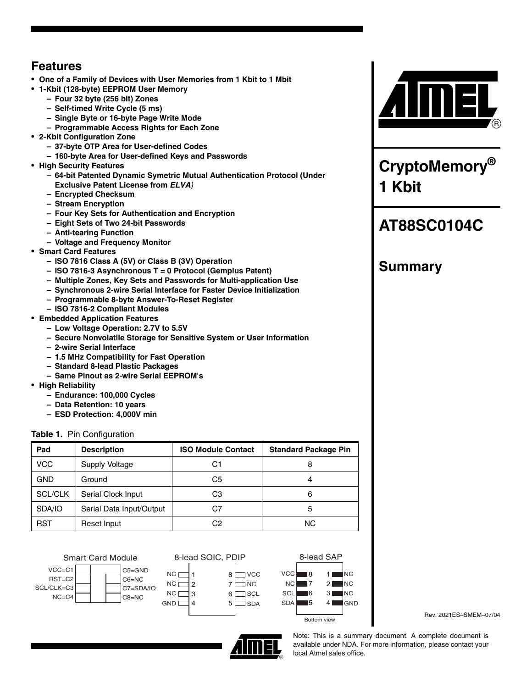## **Features**

- **One of a Family of Devices with User Memories from 1 Kbit to 1 Mbit**
- **1-Kbit (128-byte) EEPROM User Memory**
	- **Four 32 byte (256 bit) Zones**
	- **Self-timed Write Cycle (5 ms)**
	- **Single Byte or 16-byte Page Write Mode**
	- **Programmable Access Rights for Each Zone**
- **2-Kbit Configuration Zone**
	- **37-byte OTP Area for User-defined Codes**
	- **160-byte Area for User-defined Keys and Passwords**
- **High Security Features**
	- **64-bit Patented Dynamic Symetric Mutual Authentication Protocol (Under Exclusive Patent License from** *ELVA)*
	- **Encrypted Checksum**
	- **Stream Encryption**
	- **Four Key Sets for Authentication and Encryption**
	- **Eight Sets of Two 24-bit Passwords**
	- **Anti-tearing Function**
	- **Voltage and Frequency Monitor**
- **Smart Card Features**
	- **ISO 7816 Class A (5V) or Class B (3V) Operation**
	- **ISO 7816-3 Asynchronous T = 0 Protocol (Gemplus Patent)**
	- **Multiple Zones, Key Sets and Passwords for Multi-application Use**
	- **Synchronous 2-wire Serial Interface for Faster Device Initialization**
	- **Programmable 8-byte Answer-To-Reset Register**
	- **ISO 7816-2 Compliant Modules**
- **Embedded Application Features**
	- **Low Voltage Operation: 2.7V to 5.5V**
	- **Secure Nonvolatile Storage for Sensitive System or User Information**
	- **2-wire Serial Interface**
	- **1.5 MHz Compatibility for Fast Operation**
	- **Standard 8-lead Plastic Packages**
	- **Same Pinout as 2-wire Serial EEPROM's**
- **High Reliability**
	- **Endurance: 100,000 Cycles**
	- **Data Retention: 10 years**
	- **ESD Protection: 4,000V min**

## **Table 1.** Pin Configuration

| Pad            | <b>Description</b>       | <b>ISO Module Contact</b> | <b>Standard Package Pin</b> |
|----------------|--------------------------|---------------------------|-----------------------------|
| <b>VCC</b>     | Supply Voltage           | C1                        |                             |
| <b>GND</b>     | Ground                   | C5                        |                             |
| <b>SCL/CLK</b> | Serial Clock Input       | CЗ                        | 6                           |
| SDA/IO         | Serial Data Input/Output | C7                        | 5                           |
| <b>RST</b>     | Reset Input              | C2                        | NC.                         |

Smart Card Module  $VCC = C1$ RST=C2 SCL/CLK=C3 C5=GND C6=NC

C8=NC

NC=C4



**GND** 

4



Rev. 2021ES–SMEM–07/04



 $\Box$  VCC  $\Box$  NC  $\Box$ SCL SDA

8-lead SOIC, PDIP

Note: This is a summary document. A complete document is available under NDA. For more information, please contact your local Atmel sales office.



**CryptoMemory® 1 Kbit**

# **AT88SC0104C**

# **Summary**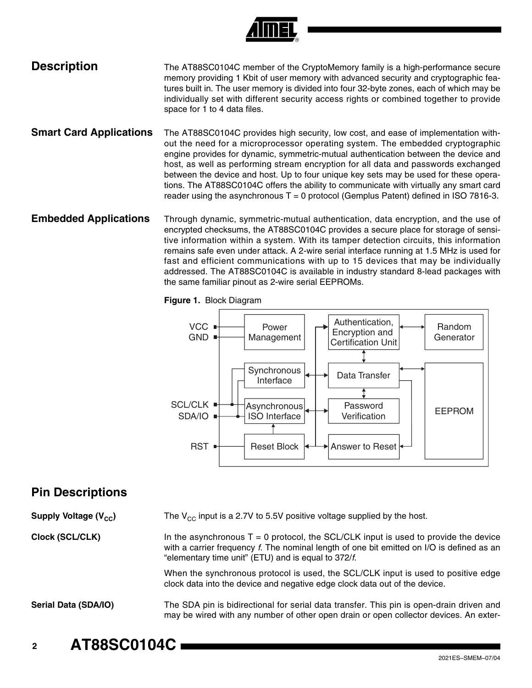

## **Description** The AT88SC0104C member of the CryptoMemory family is a high-performance secure memory providing 1 Kbit of user memory with advanced security and cryptographic features built in. The user memory is divided into four 32-byte zones, each of which may be individually set with different security access rights or combined together to provide space for 1 to 4 data files.

- **Smart Card Applications** The AT88SC0104C provides high security, low cost, and ease of implementation without the need for a microprocessor operating system. The embedded cryptographic engine provides for dynamic, symmetric-mutual authentication between the device and host, as well as performing stream encryption for all data and passwords exchanged between the device and host. Up to four unique key sets may be used for these operations. The AT88SC0104C offers the ability to communicate with virtually any smart card reader using the asynchronous  $T = 0$  protocol (Gemplus Patent) defined in ISO 7816-3.
- **Embedded Applications** Through dynamic, symmetric-mutual authentication, data encryption, and the use of encrypted checksums, the AT88SC0104C provides a secure place for storage of sensitive information within a system. With its tamper detection circuits, this information remains safe even under attack. A 2-wire serial interface running at 1.5 MHz is used for fast and efficient communications with up to 15 devices that may be individually addressed. The AT88SC0104C is available in industry standard 8-lead packages with the same familiar pinout as 2-wire serial EEPROMs.

**Figure 1.** Block Diagram



## **Pin Descriptions**

**Supply Voltage (V<sub>CC</sub>)** The V<sub>CC</sub> input is a 2.7V to 5.5V positive voltage supplied by the host.

**Clock (SCL/CLK)** In the asynchronous  $T = 0$  protocol, the SCL/CLK input is used to provide the device with a carrier frequency *f*. The nominal length of one bit emitted on I/O is defined as an "elementary time unit" (ETU) and is equal to 372/*f*.

> When the synchronous protocol is used, the SCL/CLK input is used to positive edge clock data into the device and negative edge clock data out of the device.

**Serial Data (SDA/IO)** The SDA pin is bidirectional for serial data transfer. This pin is open-drain driven and may be wired with any number of other open drain or open collector devices. An exter-

**<sup>2</sup> AT88SC0104C**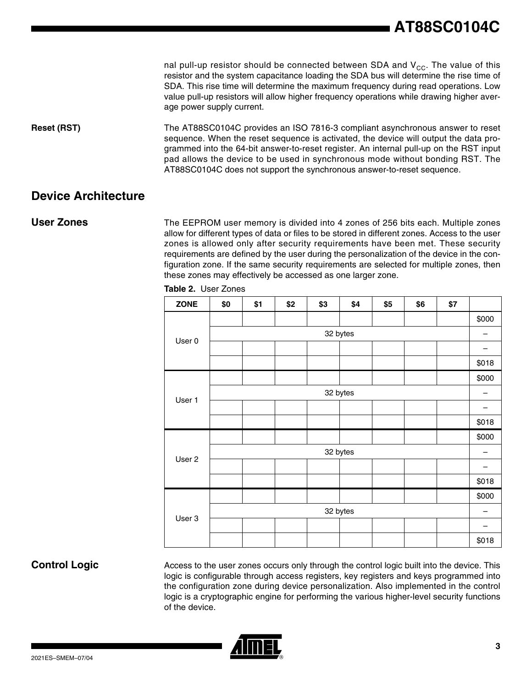nal pull-up resistor should be connected between SDA and  $V_{CC}$ . The value of this resistor and the system capacitance loading the SDA bus will determine the rise time of SDA. This rise time will determine the maximum frequency during read operations. Low value pull-up resistors will allow higher frequency operations while drawing higher average power supply current.

**Reset (RST)** The AT88SC0104C provides an ISO 7816-3 compliant asynchronous answer to reset sequence. When the reset sequence is activated, the device will output the data programmed into the 64-bit answer-to-reset register. An internal pull-up on the RST input pad allows the device to be used in synchronous mode without bonding RST. The AT88SC0104C does not support the synchronous answer-to-reset sequence.

## **Device Architecture**

**User Zones** The EEPROM user memory is divided into 4 zones of 256 bits each. Multiple zones allow for different types of data or files to be stored in different zones. Access to the user zones is allowed only after security requirements have been met. These security requirements are defined by the user during the personalization of the device in the configuration zone. If the same security requirements are selected for multiple zones, then these zones may effectively be accessed as one larger zone.

| <b>ZONE</b> | \$0      | \$1 | \$2 | \$3 | \$4      | \$5 | \$6 | \$7 |       |
|-------------|----------|-----|-----|-----|----------|-----|-----|-----|-------|
|             |          |     |     |     |          |     |     |     | \$000 |
|             | 32 bytes |     |     |     |          |     |     |     | -     |
| User 0      |          |     |     |     |          |     |     |     |       |
|             |          |     |     |     |          |     |     |     | \$018 |
|             |          |     |     |     |          |     |     |     | \$000 |
|             |          |     |     |     | 32 bytes |     |     |     |       |
| User 1      |          |     |     |     |          |     |     |     |       |
|             |          |     |     |     |          |     |     |     | \$018 |
|             |          |     |     |     |          |     |     |     | \$000 |
|             | 32 bytes |     |     |     |          |     |     |     |       |
| User 2      |          |     |     |     |          |     |     |     |       |
|             |          |     |     |     |          |     |     |     | \$018 |
| User 3      |          |     |     |     |          |     |     |     | \$000 |
|             | 32 bytes |     |     |     |          |     |     |     |       |
|             |          |     |     |     |          |     |     |     |       |
|             |          |     |     |     |          |     |     |     | \$018 |

**Table 2.** User Zones

**Control Logic** Access to the user zones occurs only through the control logic built into the device. This logic is configurable through access registers, key registers and keys programmed into the configuration zone during device personalization. Also implemented in the control logic is a cryptographic engine for performing the various higher-level security functions of the device.

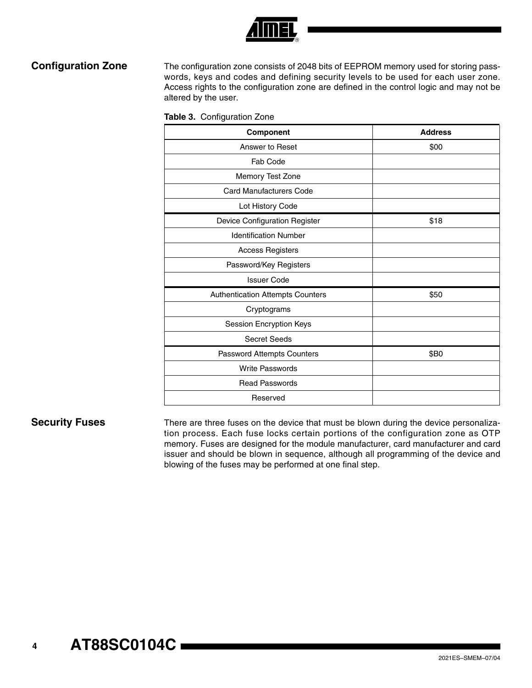

**Configuration Zone** The configuration zone consists of 2048 bits of EEPROM memory used for storing passwords, keys and codes and defining security levels to be used for each user zone. Access rights to the configuration zone are defined in the control logic and may not be altered by the user.

|  | Table 3. Configuration Zone |  |
|--|-----------------------------|--|
|--|-----------------------------|--|

| Component                        | <b>Address</b> |
|----------------------------------|----------------|
| Answer to Reset                  | \$00           |
| Fab Code                         |                |
| Memory Test Zone                 |                |
| <b>Card Manufacturers Code</b>   |                |
| Lot History Code                 |                |
| Device Configuration Register    | \$18           |
| <b>Identification Number</b>     |                |
| <b>Access Registers</b>          |                |
| Password/Key Registers           |                |
| <b>Issuer Code</b>               |                |
| Authentication Attempts Counters | \$50           |
| Cryptograms                      |                |
| Session Encryption Keys          |                |
| <b>Secret Seeds</b>              |                |
| Password Attempts Counters       | \$B0           |
| Write Passwords                  |                |
| <b>Read Passwords</b>            |                |
| Reserved                         |                |

**Security Fuses** There are three fuses on the device that must be blown during the device personalization process. Each fuse locks certain portions of the configuration zone as OTP memory. Fuses are designed for the module manufacturer, card manufacturer and card issuer and should be blown in sequence, although all programming of the device and blowing of the fuses may be performed at one final step.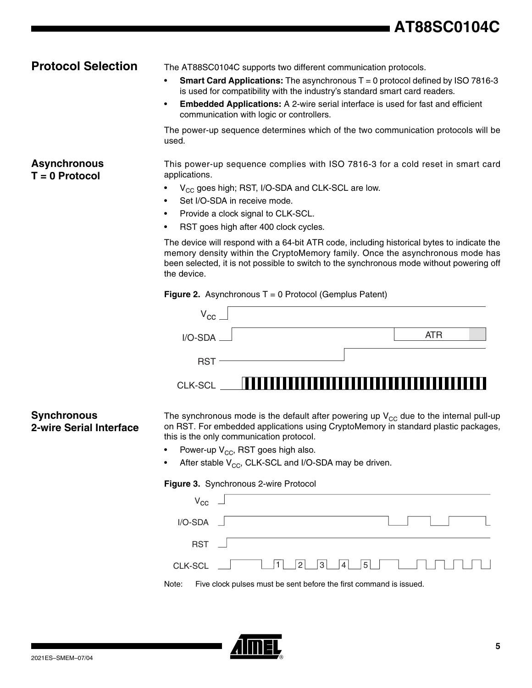# **AT88SC0104C**

**Asynchronous T = 0 Protocol**

**Protocol Selection** The AT88SC0104C supports two different communication protocols.

- **Smart Card Applications:** The asynchronous T = 0 protocol defined by ISO 7816-3 is used for compatibility with the industry's standard smart card readers.
- **Embedded Applications:** A 2-wire serial interface is used for fast and efficient communication with logic or controllers.

The power-up sequence determines which of the two communication protocols will be used.

This power-up sequence complies with ISO 7816-3 for a cold reset in smart card applications.

- $V_{CC}$  goes high; RST, I/O-SDA and CLK-SCL are low.
- Set I/O-SDA in receive mode.
- Provide a clock signal to CLK-SCL.
- RST goes high after 400 clock cycles.

The device will respond with a 64-bit ATR code, including historical bytes to indicate the memory density within the CryptoMemory family. Once the asynchronous mode has been selected, it is not possible to switch to the synchronous mode without powering off the device.

**Figure 2.** Asynchronous T = 0 Protocol (Gemplus Patent)

| $V_{CC}$          |  |     |  |
|-------------------|--|-----|--|
| $I/O$ -SDA $\Box$ |  | ATR |  |
| RST -             |  |     |  |
| CLK-SCL           |  |     |  |

## **Synchronous 2-wire Serial Interface**

The synchronous mode is the default after powering up  $V_{CC}$  due to the internal pull-up on RST. For embedded applications using CryptoMemory in standard plastic packages, this is the only communication protocol.

- Power-up  $V_{CC}$ , RST goes high also.
- After stable  $V_{CC}$ , CLK-SCL and I/O-SDA may be driven.

### **Figure 3.** Synchronous 2-wire Protocol

| $V_{cc}$ $\Box$  |                                                                    |
|------------------|--------------------------------------------------------------------|
| $I/O-SDA$ $\Box$ |                                                                    |
| RST              |                                                                    |
|                  | CLK-SCL $\Box$ $\Box$ 1 $\Box$ 2 3 4 5 $\Box$ $\Box$ $\Box$        |
| Note:            | Five clock pulses must be sent before the first command is issued. |

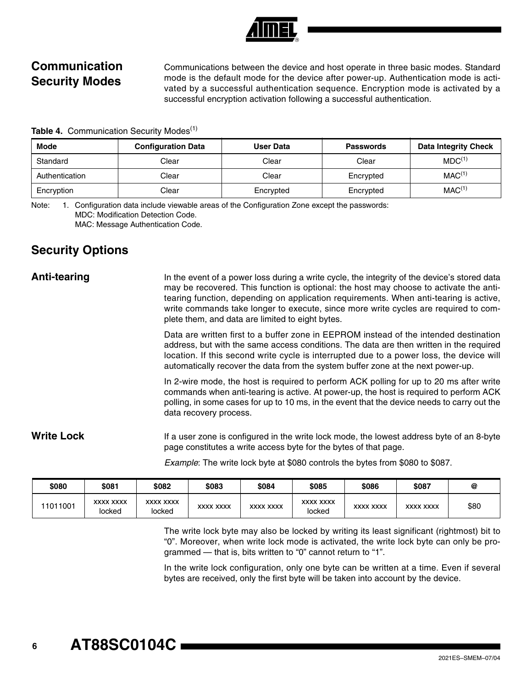# **Communication Security Modes**

Communications between the device and host operate in three basic modes. Standard mode is the default mode for the device after power-up. Authentication mode is activated by a successful authentication sequence. Encryption mode is activated by a successful encryption activation following a successful authentication.

**Table 4. Communication Security Modes<sup>(1)</sup>** 

| <b>Mode</b>    | <b>Configuration Data</b> | User Data | <b>Passwords</b> | <b>Data Integrity Check</b> |
|----------------|---------------------------|-----------|------------------|-----------------------------|
| Standard       | Clear                     | Clear     | Clear            | MDC <sup>(1)</sup>          |
| Authentication | Clear                     | Clear     | Encrypted        | MAC <sup>(1)</sup>          |
| Encryption     | Clear                     | Encrypted | Encrypted        | MAC <sup>(1)</sup>          |

Note: 1. Configuration data include viewable areas of the Configuration Zone except the passwords: MDC: Modification Detection Code. MAC: Message Authentication Code.

## **Security Options**

Anti-tearing **In the event of a power loss during a write cycle**, the integrity of the device's stored data may be recovered. This function is optional: the host may choose to activate the antitearing function, depending on application requirements. When anti-tearing is active, write commands take longer to execute, since more write cycles are required to complete them, and data are limited to eight bytes.

> Data are written first to a buffer zone in EEPROM instead of the intended destination address, but with the same access conditions. The data are then written in the required location. If this second write cycle is interrupted due to a power loss, the device will automatically recover the data from the system buffer zone at the next power-up.

> In 2-wire mode, the host is required to perform ACK polling for up to 20 ms after write commands when anti-tearing is active. At power-up, the host is required to perform ACK polling, in some cases for up to 10 ms, in the event that the device needs to carry out the data recovery process.

## Write Lock If a user zone is configured in the write lock mode, the lowest address byte of an 8-byte page constitutes a write access byte for the bytes of that page.

*Example*: The write lock byte at \$080 controls the bytes from \$080 to \$087.

| \$080    | \$081                      | \$082                      | \$083            | \$084            | \$085                      | \$086            | \$087            | @    |
|----------|----------------------------|----------------------------|------------------|------------------|----------------------------|------------------|------------------|------|
| 11011001 | <b>XXXX XXXX</b><br>locked | <b>XXXX XXXX</b><br>locked | <b>XXXX XXXX</b> | <b>XXXX XXXX</b> | <b>XXXX XXXX</b><br>locked | <b>XXXX XXXX</b> | <b>XXXX XXXX</b> | \$80 |

The write lock byte may also be locked by writing its least significant (rightmost) bit to "0". Moreover, when write lock mode is activated, the write lock byte can only be programmed — that is, bits written to "0" cannot return to "1".

In the write lock configuration, only one byte can be written at a time. Even if several bytes are received, only the first byte will be taken into account by the device.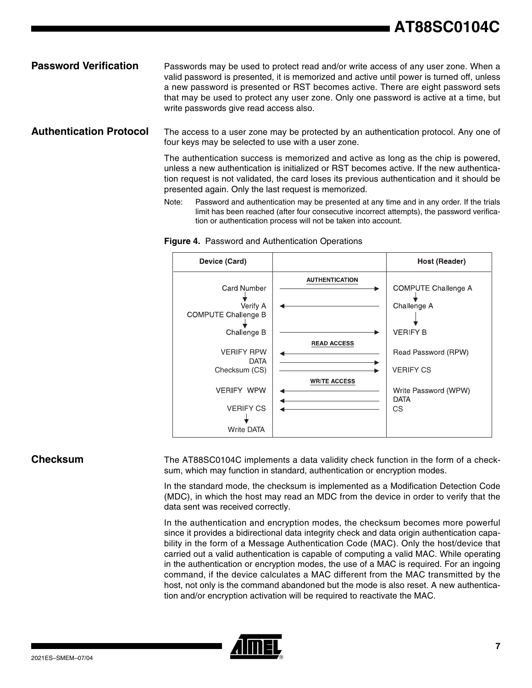### **Password Verification** Passwords may be used to protect read and/or write access of any user zone. When a valid password is presented, it is memorized and active until power is turned off, unless a new password is presented or RST becomes active. There are eight password sets that may be used to protect any user zone. Only one password is active at a time, but write passwords give read access also.

**Authentication Protocol** The access to a user zone may be protected by an authentication protocol. Any one of four keys may be selected to use with a user zone.

> The authentication success is memorized and active as long as the chip is powered, unless a new authentication is initialized or RST becomes active. If the new authentication request is not validated, the card loses its previous authentication and it should be presented again. Only the last request is memorized.

> Note: Password and authentication may be presented at any time and in any order. If the trials limit has been reached (after four consecutive incorrect attempts), the password verification or authentication process will not be taken into account.



**Figure 4.** Password and Authentication Operations

**Checksum** The AT88SC0104C implements a data validity check function in the form of a checksum, which may function in standard, authentication or encryption modes.

> In the standard mode, the checksum is implemented as a Modification Detection Code (MDC), in which the host may read an MDC from the device in order to verify that the data sent was received correctly.

> In the authentication and encryption modes, the checksum becomes more powerful since it provides a bidirectional data integrity check and data origin authentication capability in the form of a Message Authentication Code (MAC). Only the host/device that carried out a valid authentication is capable of computing a valid MAC. While operating in the authentication or encryption modes, the use of a MAC is required. For an ingoing command, if the device calculates a MAC different from the MAC transmitted by the host, not only is the command abandoned but the mode is also reset. A new authentication and/or encryption activation will be required to reactivate the MAC.

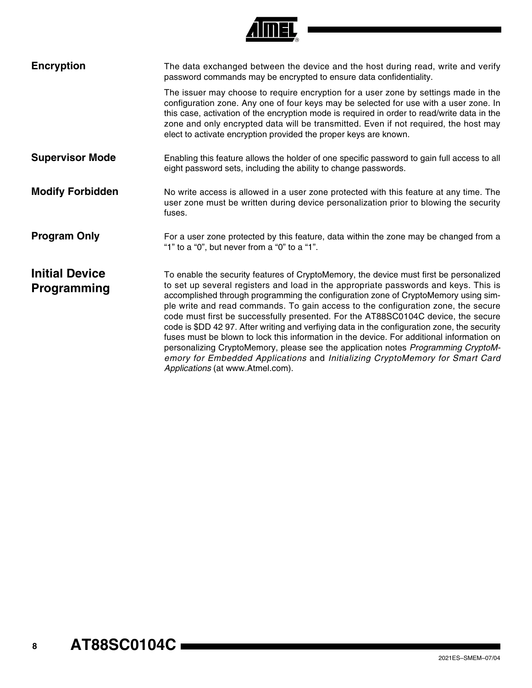| <b>Encryption</b>                    | The data exchanged between the device and the host during read, write and verify<br>password commands may be encrypted to ensure data confidentiality.                                                                                                                                                                                                                                                                                                                                                                                                                                                                                                                                                                                                                                                                                              |
|--------------------------------------|-----------------------------------------------------------------------------------------------------------------------------------------------------------------------------------------------------------------------------------------------------------------------------------------------------------------------------------------------------------------------------------------------------------------------------------------------------------------------------------------------------------------------------------------------------------------------------------------------------------------------------------------------------------------------------------------------------------------------------------------------------------------------------------------------------------------------------------------------------|
|                                      | The issuer may choose to require encryption for a user zone by settings made in the<br>configuration zone. Any one of four keys may be selected for use with a user zone. In<br>this case, activation of the encryption mode is required in order to read/write data in the<br>zone and only encrypted data will be transmitted. Even if not required, the host may<br>elect to activate encryption provided the proper keys are known.                                                                                                                                                                                                                                                                                                                                                                                                             |
| <b>Supervisor Mode</b>               | Enabling this feature allows the holder of one specific password to gain full access to all<br>eight password sets, including the ability to change passwords.                                                                                                                                                                                                                                                                                                                                                                                                                                                                                                                                                                                                                                                                                      |
| <b>Modify Forbidden</b>              | No write access is allowed in a user zone protected with this feature at any time. The<br>user zone must be written during device personalization prior to blowing the security<br>fuses.                                                                                                                                                                                                                                                                                                                                                                                                                                                                                                                                                                                                                                                           |
| <b>Program Only</b>                  | For a user zone protected by this feature, data within the zone may be changed from a<br>"1" to a "0", but never from a "0" to a "1".                                                                                                                                                                                                                                                                                                                                                                                                                                                                                                                                                                                                                                                                                                               |
| <b>Initial Device</b><br>Programming | To enable the security features of CryptoMemory, the device must first be personalized<br>to set up several registers and load in the appropriate passwords and keys. This is<br>accomplished through programming the configuration zone of CryptoMemory using sim-<br>ple write and read commands. To gain access to the configuration zone, the secure<br>code must first be successfully presented. For the AT88SC0104C device, the secure<br>code is \$DD 42 97. After writing and verfiying data in the configuration zone, the security<br>fuses must be blown to lock this information in the device. For additional information on<br>personalizing CryptoMemory, please see the application notes Programming CryptoM-<br>emory for Embedded Applications and Initializing CryptoMemory for Smart Card<br>Applications (at www.Atmel.com). |

**Almel**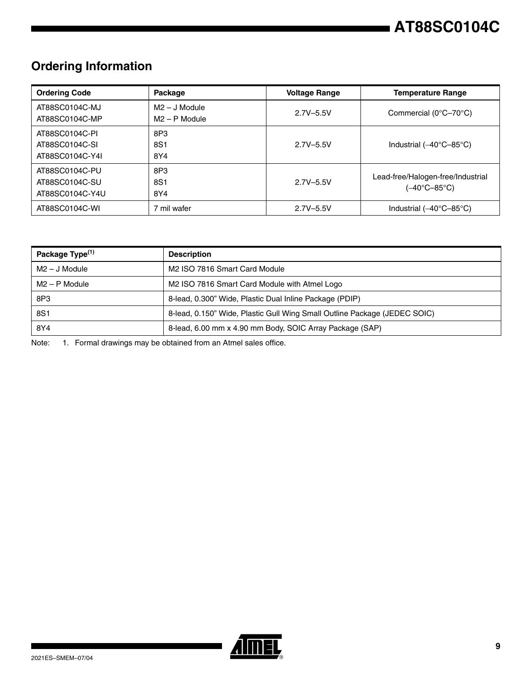# **Ordering Information**

| <b>Ordering Code</b>                                | Package                            | <b>Voltage Range</b> | <b>Temperature Range</b>                          |
|-----------------------------------------------------|------------------------------------|----------------------|---------------------------------------------------|
| AT88SC0104C-MJ<br>AT88SC0104C-MP                    | $M2 - J$ Module<br>$M2 - P$ Module | $2.7V - 5.5V$        | Commercial (0°C-70°C)                             |
| AT88SC0104C-PI<br>AT88SC0104C-SI<br>AT88SC0104C-Y4I | 8P3<br>8S1<br>8Y4                  | $2.7V - 5.5V$        | Industrial $(-40^{\circ}C - 85^{\circ}C)$         |
| AT88SC0104C-PU<br>AT88SC0104C-SU<br>AT88SC0104C-Y4U | 8P3<br>8S1<br>8Y4                  | $2.7V - 5.5V$        | Lead-free/Halogen-free/Industrial<br>(-40°C-85°C) |
| AT88SC0104C-WI                                      | 7 mil wafer                        | $2.7V - 5.5V$        | Industrial $(-40^{\circ}C - 85^{\circ}C)$         |

| Package Type <sup>(1)</sup> | <b>Description</b>                                                        |
|-----------------------------|---------------------------------------------------------------------------|
| $M2 - J$ Module             | M2 ISO 7816 Smart Card Module                                             |
| $M2 - P$ Module             | M2 ISO 7816 Smart Card Module with Atmel Logo                             |
| 8P3                         | 8-lead, 0.300" Wide, Plastic Dual Inline Package (PDIP)                   |
| 8S1                         | 8-lead, 0.150" Wide, Plastic Gull Wing Small Outline Package (JEDEC SOIC) |
| 8Y4                         | 8-lead, 6.00 mm x 4.90 mm Body, SOIC Array Package (SAP)                  |

Note: 1. Formal drawings may be obtained from an Atmel sales office.

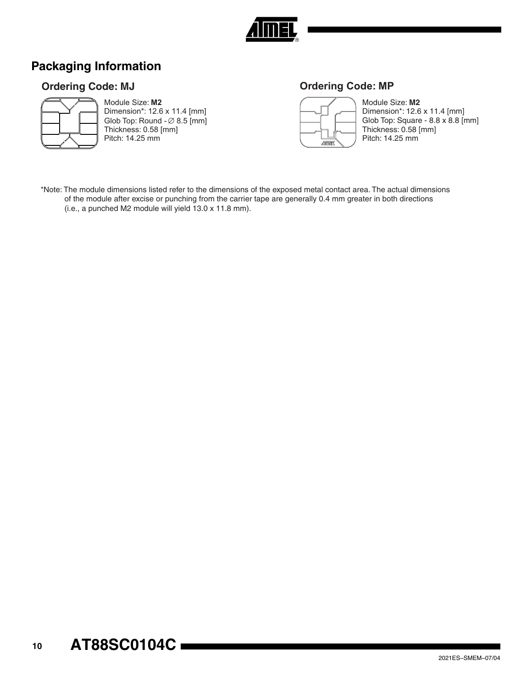

## **Packaging Information**

## **Ordering Code: MJ**



Module Size: **M2** Dimension\*: 12.6 x 11.4 [mm] Glob Top: Round -  $\varnothing$  8.5 [mm] Thickness: 0.58 [mm]

Pitch: 14.25 mm

## **Ordering Code: MP**



Module Size: **M2** Dimension\*: 12.6 x 11.4 [mm] Glob Top: Square - 8.8 x 8.8 [mm] Thickness: 0.58 [mm] Pitch: 14.25 mm

\*Note: The module dimensions listed refer to the dimensions of the exposed metal contact area. The actual dimensions of the module after excise or punching from the carrier tape are generally 0.4 mm greater in both directions (i.e., a punched M2 module will yield 13.0 x 11.8 mm).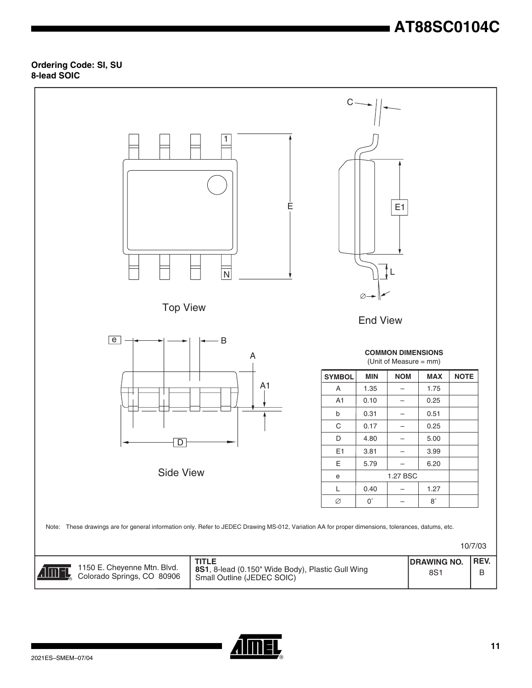# **AT88SC0104C**

### **Ordering Code: SI, SU 8-lead SOIC**



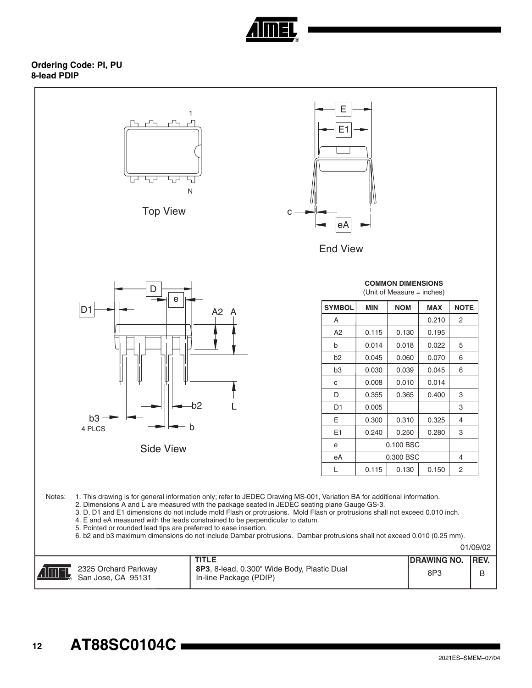

### **Ordering Code: PI, PU 8-lead PDIP**

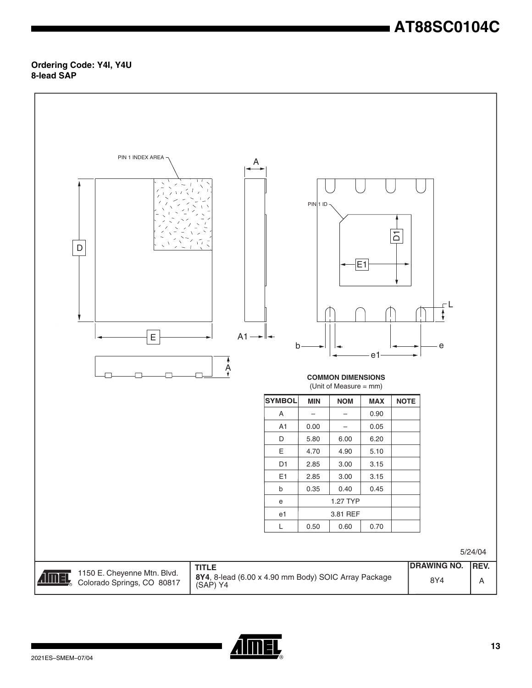# **AT88SC0104C**

### **Ordering Code: Y4I, Y4U 8-lead SAP**